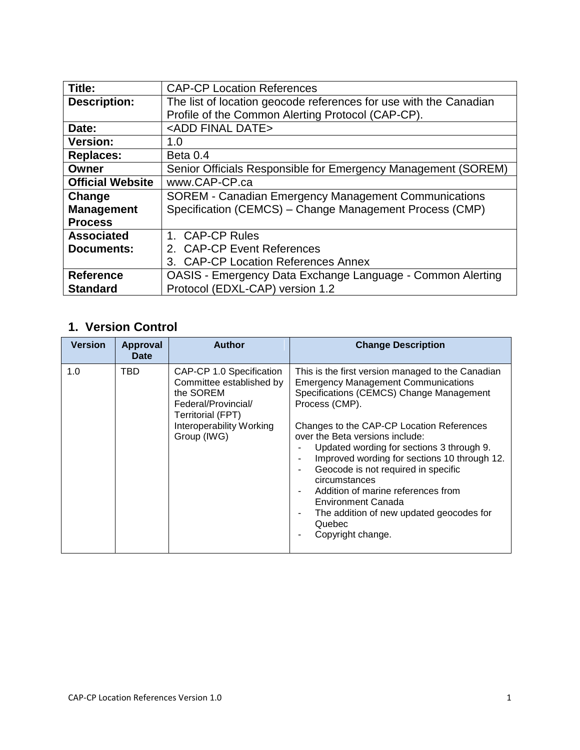| Title:                  | <b>CAP-CP Location References</b>                                 |  |  |
|-------------------------|-------------------------------------------------------------------|--|--|
| <b>Description:</b>     | The list of location geocode references for use with the Canadian |  |  |
|                         | Profile of the Common Alerting Protocol (CAP-CP).                 |  |  |
| Date:                   | <add date="" final=""></add>                                      |  |  |
| <b>Version:</b>         | 1.0                                                               |  |  |
| <b>Replaces:</b>        | Beta 0.4                                                          |  |  |
| Owner                   | Senior Officials Responsible for Emergency Management (SOREM)     |  |  |
| <b>Official Website</b> | www.CAP-CP.ca                                                     |  |  |
| Change                  | <b>SOREM - Canadian Emergency Management Communications</b>       |  |  |
| <b>Management</b>       | Specification (CEMCS) – Change Management Process (CMP)           |  |  |
| <b>Process</b>          |                                                                   |  |  |
| <b>Associated</b>       | 1. CAP-CP Rules                                                   |  |  |
| <b>Documents:</b>       | 2. CAP-CP Event References                                        |  |  |
|                         | 3. CAP-CP Location References Annex                               |  |  |
| <b>Reference</b>        | OASIS - Emergency Data Exchange Language - Common Alerting        |  |  |
| <b>Standard</b>         | Protocol (EDXL-CAP) version 1.2                                   |  |  |

# **1. Version Control**

| <b>Version</b> | Approval<br><b>Date</b> | <b>Author</b>                                                                                                                                            | <b>Change Description</b>                                                                                                                                                                                                                                                                                                                                                                                                                                                                                                                      |
|----------------|-------------------------|----------------------------------------------------------------------------------------------------------------------------------------------------------|------------------------------------------------------------------------------------------------------------------------------------------------------------------------------------------------------------------------------------------------------------------------------------------------------------------------------------------------------------------------------------------------------------------------------------------------------------------------------------------------------------------------------------------------|
| 1.0            | TBD                     | CAP-CP 1.0 Specification<br>Committee established by<br>the SOREM<br>Federal/Provincial/<br>Territorial (FPT)<br>Interoperability Working<br>Group (IWG) | This is the first version managed to the Canadian<br><b>Emergency Management Communications</b><br>Specifications (CEMCS) Change Management<br>Process (CMP).<br>Changes to the CAP-CP Location References<br>over the Beta versions include:<br>Updated wording for sections 3 through 9.<br>Improved wording for sections 10 through 12.<br>Geocode is not required in specific<br>٠<br>circumstances<br>Addition of marine references from<br>Environment Canada<br>The addition of new updated geocodes for<br>Quebec<br>Copyright change. |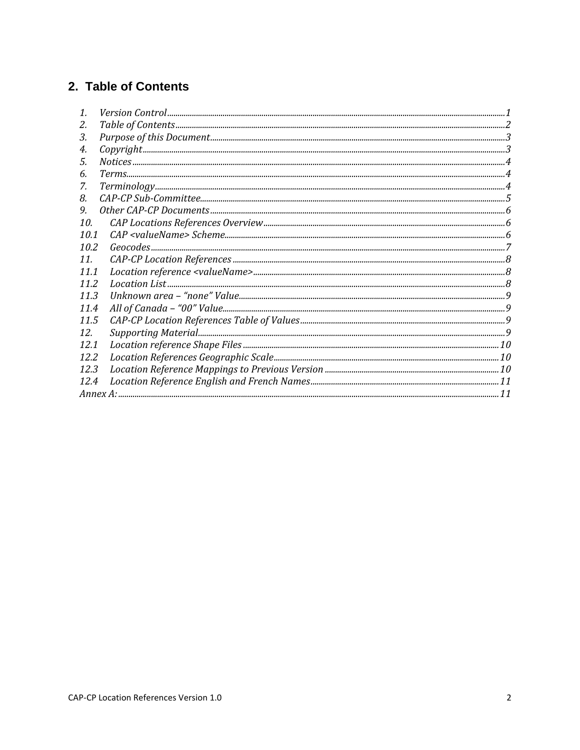# 2. Table of Contents

| 1.              |                            |
|-----------------|----------------------------|
| 2.              |                            |
| 3.              |                            |
| 4.              |                            |
| 5.              |                            |
| 6.              |                            |
| 7.              |                            |
| 8.              | $CAP-CP Sub- Committee. 5$ |
| 9.              |                            |
| 10.             |                            |
| 10.1            |                            |
| 10.2            |                            |
| 11 <sub>1</sub> |                            |
| 11.1            |                            |
| 11.2            |                            |
| 11.3            |                            |
| 11.4            |                            |
| 11.5            |                            |
| 12.             |                            |
| 12.1            |                            |
| 12.2            |                            |
| 12.3            |                            |
| 12.4            |                            |
|                 |                            |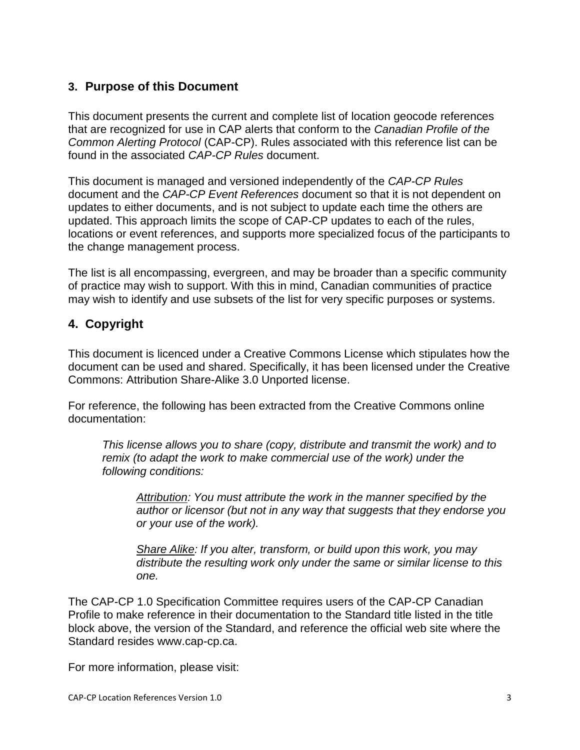### **3. Purpose of this Document**

This document presents the current and complete list of location geocode references that are recognized for use in CAP alerts that conform to the *Canadian Profile of the Common Alerting Protocol* (CAP-CP). Rules associated with this reference list can be found in the associated *CAP-CP Rules* document.

This document is managed and versioned independently of the *CAP-CP Rules* document and the *CAP-CP Event References* document so that it is not dependent on updates to either documents, and is not subject to update each time the others are updated. This approach limits the scope of CAP-CP updates to each of the rules, locations or event references, and supports more specialized focus of the participants to the change management process.

The list is all encompassing, evergreen, and may be broader than a specific community of practice may wish to support. With this in mind, Canadian communities of practice may wish to identify and use subsets of the list for very specific purposes or systems.

### **4. Copyright**

This document is licenced under a Creative Commons License which stipulates how the document can be used and shared. Specifically, it has been licensed under the Creative Commons: Attribution Share-Alike 3.0 Unported license.

For reference, the following has been extracted from the Creative Commons online documentation:

*This license allows you to share (copy, distribute and transmit the work) and to remix (to adapt the work to make commercial use of the work) under the following conditions:*

*Attribution: You must attribute the work in the manner specified by the author or licensor (but not in any way that suggests that they endorse you or your use of the work).*

*Share Alike: If you alter, transform, or build upon this work, you may distribute the resulting work only under the same or similar license to this one.*

The CAP-CP 1.0 Specification Committee requires users of the CAP-CP Canadian Profile to make reference in their documentation to the Standard title listed in the title block above, the version of the Standard, and reference the official web site where the Standard resides www.cap-cp.ca.

For more information, please visit: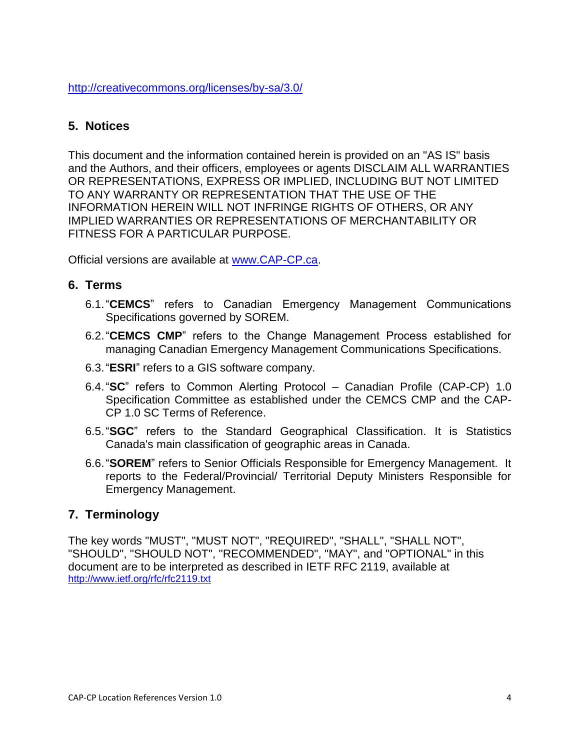<http://creativecommons.org/licenses/by-sa/3.0/>

### **5. Notices**

This document and the information contained herein is provided on an "AS IS" basis and the Authors, and their officers, employees or agents DISCLAIM ALL WARRANTIES OR REPRESENTATIONS, EXPRESS OR IMPLIED, INCLUDING BUT NOT LIMITED TO ANY WARRANTY OR REPRESENTATION THAT THE USE OF THE INFORMATION HEREIN WILL NOT INFRINGE RIGHTS OF OTHERS, OR ANY IMPLIED WARRANTIES OR REPRESENTATIONS OF MERCHANTABILITY OR FITNESS FOR A PARTICULAR PURPOSE.

Official versions are available at [www.CAP-CP.ca.](http://www.cap-cp.ca/)

#### **6. Terms**

- 6.1."**CEMCS**" refers to Canadian Emergency Management Communications Specifications governed by SOREM.
- 6.2."**CEMCS CMP**" refers to the Change Management Process established for managing Canadian Emergency Management Communications Specifications.
- 6.3."**ESRI**" refers to a GIS software company.
- 6.4."**SC**" refers to Common Alerting Protocol Canadian Profile (CAP-CP) 1.0 Specification Committee as established under the CEMCS CMP and the CAP-CP 1.0 SC Terms of Reference.
- 6.5."**SGC**" refers to the Standard Geographical Classification. It is Statistics Canada's main classification of geographic areas in Canada.
- 6.6."**SOREM**" refers to Senior Officials Responsible for Emergency Management. It reports to the Federal/Provincial/ Territorial Deputy Ministers Responsible for Emergency Management.

### **7. Terminology**

The key words "MUST", "MUST NOT", "REQUIRED", "SHALL", "SHALL NOT", "SHOULD", "SHOULD NOT", "RECOMMENDED", "MAY", and "OPTIONAL" in this document are to be interpreted as described in IETF RFC 2119, available at <http://www.ietf.org/rfc/rfc2119.txt>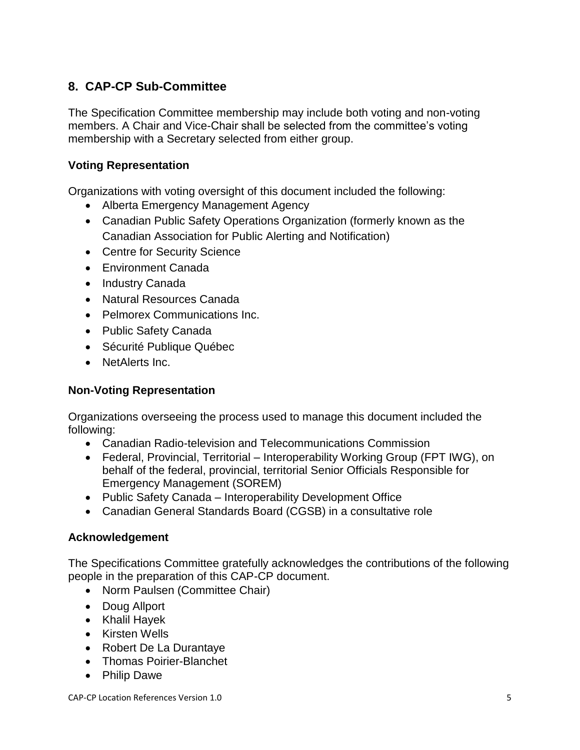## **8. CAP-CP Sub-Committee**

The Specification Committee membership may include both voting and non-voting members. A Chair and Vice-Chair shall be selected from the committee's voting membership with a Secretary selected from either group.

#### **Voting Representation**

Organizations with voting oversight of this document included the following:

- Alberta Emergency Management Agency
- Canadian Public Safety Operations Organization (formerly known as the Canadian Association for Public Alerting and Notification)
- Centre for Security Science
- Environment Canada
- Industry Canada
- Natural Resources Canada
- Pelmorex Communications Inc.
- Public Safety Canada
- Sécurité Publique Québec
- NetAlerts Inc.

#### **Non-Voting Representation**

Organizations overseeing the process used to manage this document included the following:

- Canadian Radio-television and Telecommunications Commission
- Federal, Provincial, Territorial Interoperability Working Group (FPT IWG), on behalf of the federal, provincial, territorial Senior Officials Responsible for Emergency Management (SOREM)
- Public Safety Canada Interoperability Development Office
- Canadian General Standards Board (CGSB) in a consultative role

#### **Acknowledgement**

The Specifications Committee gratefully acknowledges the contributions of the following people in the preparation of this CAP-CP document.

- Norm Paulsen (Committee Chair)
- Doug Allport
- Khalil Hayek
- Kirsten Wells
- Robert De La Durantaye
- Thomas Poirier-Blanchet
- Philip Dawe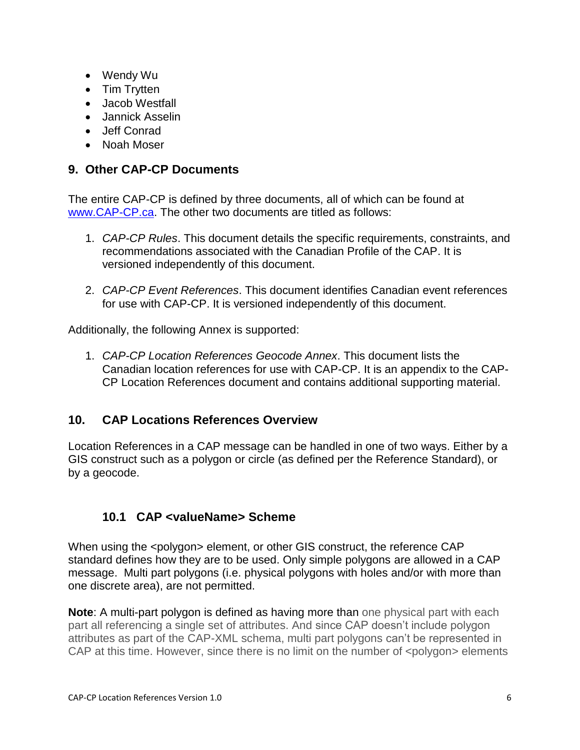- Wendy Wu
- Tim Trytten
- Jacob Westfall
- Jannick Asselin
- Jeff Conrad
- Noah Moser

### **9. Other CAP-CP Documents**

The entire CAP-CP is defined by three documents, all of which can be found at [www.CAP-CP.ca.](http://www.cap-cp.ca/) The other two documents are titled as follows:

- 1. *CAP-CP Rules*. This document details the specific requirements, constraints, and recommendations associated with the Canadian Profile of the CAP. It is versioned independently of this document.
- 2. *CAP-CP Event References*. This document identifies Canadian event references for use with CAP-CP. It is versioned independently of this document.

Additionally, the following Annex is supported:

1. *CAP-CP Location References Geocode Annex*. This document lists the Canadian location references for use with CAP-CP. It is an appendix to the CAP-CP Location References document and contains additional supporting material.

### **10. CAP Locations References Overview**

Location References in a CAP message can be handled in one of two ways. Either by a GIS construct such as a polygon or circle (as defined per the Reference Standard), or by a geocode.

### **10.1 CAP <valueName> Scheme**

When using the <polygon> element, or other GIS construct, the reference CAP standard defines how they are to be used. Only simple polygons are allowed in a CAP message. Multi part polygons (i.e. physical polygons with holes and/or with more than one discrete area), are not permitted.

**Note**: A multi-part polygon is defined as having more than one physical part with each part all referencing a single set of attributes. And since CAP doesn"t include polygon attributes as part of the CAP-XML schema, multi part polygons can"t be represented in CAP at this time. However, since there is no limit on the number of <polygon> elements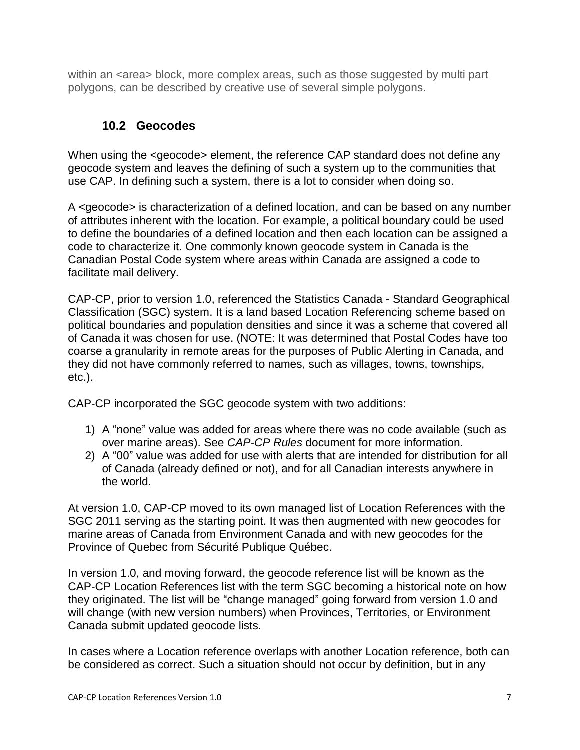within an <area> block, more complex areas, such as those suggested by multi part polygons, can be described by creative use of several simple polygons.

### **10.2 Geocodes**

When using the <geocode> element, the reference CAP standard does not define any geocode system and leaves the defining of such a system up to the communities that use CAP. In defining such a system, there is a lot to consider when doing so.

A <geocode> is characterization of a defined location, and can be based on any number of attributes inherent with the location. For example, a political boundary could be used to define the boundaries of a defined location and then each location can be assigned a code to characterize it. One commonly known geocode system in Canada is the Canadian Postal Code system where areas within Canada are assigned a code to facilitate mail delivery.

CAP-CP, prior to version 1.0, referenced the Statistics Canada - Standard Geographical Classification (SGC) system. It is a land based Location Referencing scheme based on political boundaries and population densities and since it was a scheme that covered all of Canada it was chosen for use. (NOTE: It was determined that Postal Codes have too coarse a granularity in remote areas for the purposes of Public Alerting in Canada, and they did not have commonly referred to names, such as villages, towns, townships, etc.).

CAP-CP incorporated the SGC geocode system with two additions:

- 1) A "none" value was added for areas where there was no code available (such as over marine areas). See *CAP-CP Rules* document for more information.
- 2) A "00" value was added for use with alerts that are intended for distribution for all of Canada (already defined or not), and for all Canadian interests anywhere in the world.

At version 1.0, CAP-CP moved to its own managed list of Location References with the SGC 2011 serving as the starting point. It was then augmented with new geocodes for marine areas of Canada from Environment Canada and with new geocodes for the Province of Quebec from Sécurité Publique Québec.

In version 1.0, and moving forward, the geocode reference list will be known as the CAP-CP Location References list with the term SGC becoming a historical note on how they originated. The list will be "change managed" going forward from version 1.0 and will change (with new version numbers) when Provinces, Territories, or Environment Canada submit updated geocode lists.

In cases where a Location reference overlaps with another Location reference, both can be considered as correct. Such a situation should not occur by definition, but in any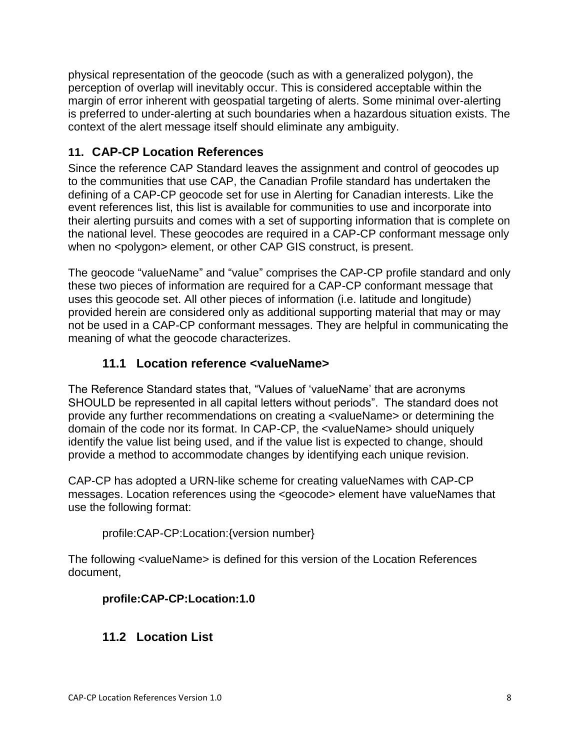physical representation of the geocode (such as with a generalized polygon), the perception of overlap will inevitably occur. This is considered acceptable within the margin of error inherent with geospatial targeting of alerts. Some minimal over-alerting is preferred to under-alerting at such boundaries when a hazardous situation exists. The context of the alert message itself should eliminate any ambiguity.

# **11. CAP-CP Location References**

Since the reference CAP Standard leaves the assignment and control of geocodes up to the communities that use CAP, the Canadian Profile standard has undertaken the defining of a CAP-CP geocode set for use in Alerting for Canadian interests. Like the event references list, this list is available for communities to use and incorporate into their alerting pursuits and comes with a set of supporting information that is complete on the national level. These geocodes are required in a CAP-CP conformant message only when no <polygon> element, or other CAP GIS construct, is present.

The geocode "valueName" and "value" comprises the CAP-CP profile standard and only these two pieces of information are required for a CAP-CP conformant message that uses this geocode set. All other pieces of information (i.e. latitude and longitude) provided herein are considered only as additional supporting material that may or may not be used in a CAP-CP conformant messages. They are helpful in communicating the meaning of what the geocode characterizes.

# **11.1 Location reference <valueName>**

The Reference Standard states that, "Values of "valueName" that are acronyms SHOULD be represented in all capital letters without periods". The standard does not provide any further recommendations on creating a <valueName> or determining the domain of the code nor its format. In CAP-CP, the <valueName> should uniquely identify the value list being used, and if the value list is expected to change, should provide a method to accommodate changes by identifying each unique revision.

CAP-CP has adopted a URN-like scheme for creating valueNames with CAP-CP messages. Location references using the <geocode> element have valueNames that use the following format:

profile:CAP-CP:Location:{version number}

The following <valueName> is defined for this version of the Location References document,

### **profile:CAP-CP:Location:1.0**

# **11.2 Location List**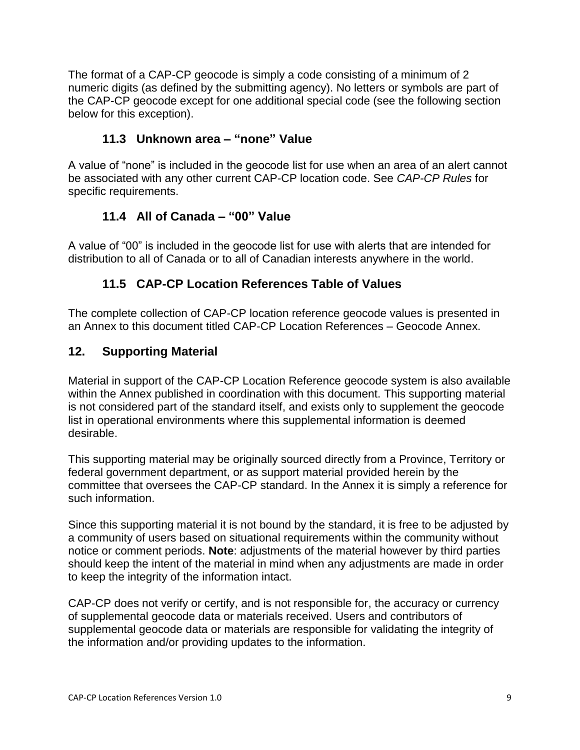The format of a CAP-CP geocode is simply a code consisting of a minimum of 2 numeric digits (as defined by the submitting agency). No letters or symbols are part of the CAP-CP geocode except for one additional special code (see the following section below for this exception).

### **11.3 Unknown area – "none" Value**

A value of "none" is included in the geocode list for use when an area of an alert cannot be associated with any other current CAP-CP location code. See *CAP-CP Rules* for specific requirements.

### **11.4 All of Canada – "00" Value**

A value of "00" is included in the geocode list for use with alerts that are intended for distribution to all of Canada or to all of Canadian interests anywhere in the world.

### **11.5 CAP-CP Location References Table of Values**

The complete collection of CAP-CP location reference geocode values is presented in an Annex to this document titled CAP-CP Location References – Geocode Annex.

### **12. Supporting Material**

Material in support of the CAP-CP Location Reference geocode system is also available within the Annex published in coordination with this document. This supporting material is not considered part of the standard itself, and exists only to supplement the geocode list in operational environments where this supplemental information is deemed desirable.

This supporting material may be originally sourced directly from a Province, Territory or federal government department, or as support material provided herein by the committee that oversees the CAP-CP standard. In the Annex it is simply a reference for such information.

Since this supporting material it is not bound by the standard, it is free to be adjusted by a community of users based on situational requirements within the community without notice or comment periods. **Note**: adjustments of the material however by third parties should keep the intent of the material in mind when any adjustments are made in order to keep the integrity of the information intact.

CAP-CP does not verify or certify, and is not responsible for, the accuracy or currency of supplemental geocode data or materials received. Users and contributors of supplemental geocode data or materials are responsible for validating the integrity of the information and/or providing updates to the information.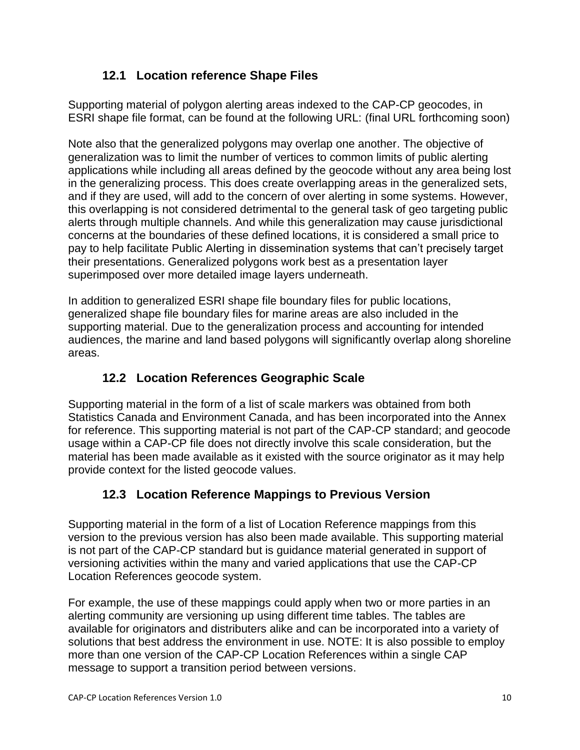# **12.1 Location reference Shape Files**

Supporting material of polygon alerting areas indexed to the CAP-CP geocodes, in ESRI shape file format, can be found at the following URL: (final URL forthcoming soon)

Note also that the generalized polygons may overlap one another. The objective of generalization was to limit the number of vertices to common limits of public alerting applications while including all areas defined by the geocode without any area being lost in the generalizing process. This does create overlapping areas in the generalized sets, and if they are used, will add to the concern of over alerting in some systems. However, this overlapping is not considered detrimental to the general task of geo targeting public alerts through multiple channels. And while this generalization may cause jurisdictional concerns at the boundaries of these defined locations, it is considered a small price to pay to help facilitate Public Alerting in dissemination systems that can"t precisely target their presentations. Generalized polygons work best as a presentation layer superimposed over more detailed image layers underneath.

In addition to generalized ESRI shape file boundary files for public locations, generalized shape file boundary files for marine areas are also included in the supporting material. Due to the generalization process and accounting for intended audiences, the marine and land based polygons will significantly overlap along shoreline areas.

## **12.2 Location References Geographic Scale**

Supporting material in the form of a list of scale markers was obtained from both Statistics Canada and Environment Canada, and has been incorporated into the Annex for reference. This supporting material is not part of the CAP-CP standard; and geocode usage within a CAP-CP file does not directly involve this scale consideration, but the material has been made available as it existed with the source originator as it may help provide context for the listed geocode values.

# **12.3 Location Reference Mappings to Previous Version**

Supporting material in the form of a list of Location Reference mappings from this version to the previous version has also been made available. This supporting material is not part of the CAP-CP standard but is guidance material generated in support of versioning activities within the many and varied applications that use the CAP-CP Location References geocode system.

For example, the use of these mappings could apply when two or more parties in an alerting community are versioning up using different time tables. The tables are available for originators and distributers alike and can be incorporated into a variety of solutions that best address the environment in use. NOTE: It is also possible to employ more than one version of the CAP-CP Location References within a single CAP message to support a transition period between versions.